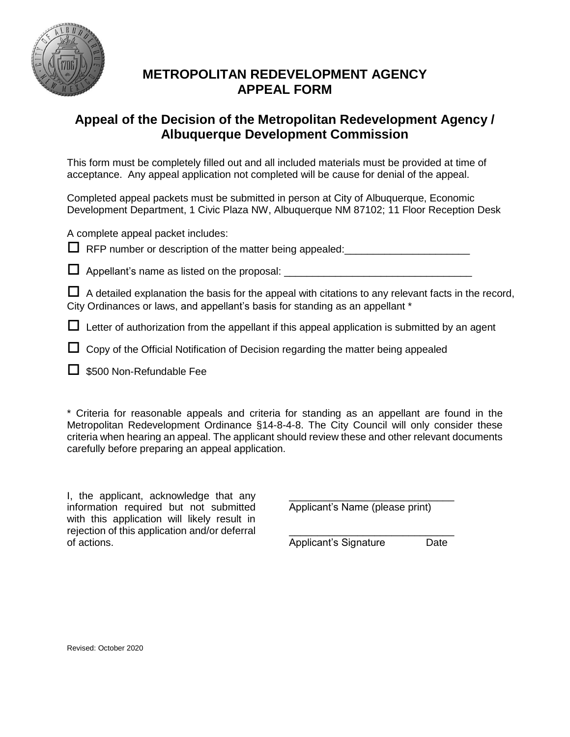

## **METROPOLITAN REDEVELOPMENT AGENCY APPEAL FORM**

## **Appeal of the Decision of the Metropolitan Redevelopment Agency / Albuquerque Development Commission**

This form must be completely filled out and all included materials must be provided at time of acceptance. Any appeal application not completed will be cause for denial of the appeal.

Completed appeal packets must be submitted in person at City of Albuquerque, Economic Development Department, 1 Civic Plaza NW, Albuquerque NM 87102; 11 Floor Reception Desk

A complete appeal packet includes:

 $\Box$  RFP number or description of the matter being appealed:

 $\Box$  Appellant's name as listed on the proposal:

 $\Box$  A detailed explanation the basis for the appeal with citations to any relevant facts in the record, City Ordinances or laws, and appellant's basis for standing as an appellant \*

 $\Box$  Letter of authorization from the appellant if this appeal application is submitted by an agent

- $\Box$  Copy of the Official Notification of Decision regarding the matter being appealed
- $\Box$  \$500 Non-Refundable Fee

\* Criteria for reasonable appeals and criteria for standing as an appellant are found in the Metropolitan Redevelopment Ordinance §14-8-4-8. The City Council will only consider these criteria when hearing an appeal. The applicant should review these and other relevant documents carefully before preparing an appeal application.

I, the applicant, acknowledge that any information required but not submitted with this application will likely result in rejection of this application and/or deferral of actions.

\_\_\_\_\_\_\_\_\_\_\_\_\_\_\_\_\_\_\_\_\_\_\_\_\_\_\_\_\_ Applicant's Name (please print)

\_\_\_\_\_\_\_\_\_\_\_\_\_\_\_\_\_\_\_\_\_\_\_\_\_\_\_\_\_ Applicant's Signature Date

Revised: October 2020